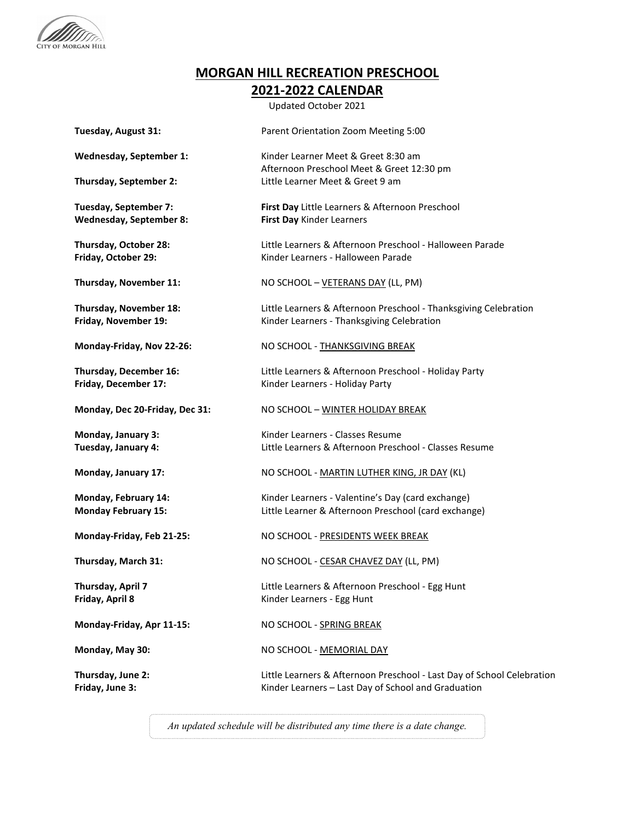

## **MORGAN HILL RECREATION PRESCHOOL 2021-2022 CALENDAR**

Updated October 2021

| Tuesday, August 31:                                     | Parent Orientation Zoom Meeting 5:00                                                                                          |
|---------------------------------------------------------|-------------------------------------------------------------------------------------------------------------------------------|
| Wednesday, September 1:                                 | Kinder Learner Meet & Greet 8:30 am<br>Afternoon Preschool Meet & Greet 12:30 pm                                              |
| Thursday, September 2:                                  | Little Learner Meet & Greet 9 am                                                                                              |
| Tuesday, September 7:<br><b>Wednesday, September 8:</b> | First Day Little Learners & Afternoon Preschool<br>First Day Kinder Learners                                                  |
| Thursday, October 28:<br>Friday, October 29:            | Little Learners & Afternoon Preschool - Halloween Parade<br>Kinder Learners - Halloween Parade                                |
| Thursday, November 11:                                  | NO SCHOOL - VETERANS DAY (LL, PM)                                                                                             |
| Thursday, November 18:<br>Friday, November 19:          | Little Learners & Afternoon Preschool - Thanksgiving Celebration<br>Kinder Learners - Thanksgiving Celebration                |
| Monday-Friday, Nov 22-26:                               | NO SCHOOL - THANKSGIVING BREAK                                                                                                |
| Thursday, December 16:<br>Friday, December 17:          | Little Learners & Afternoon Preschool - Holiday Party<br>Kinder Learners - Holiday Party                                      |
| Monday, Dec 20-Friday, Dec 31:                          | NO SCHOOL - WINTER HOLIDAY BREAK                                                                                              |
| Monday, January 3:<br>Tuesday, January 4:               | Kinder Learners - Classes Resume<br>Little Learners & Afternoon Preschool - Classes Resume                                    |
| Monday, January 17:                                     | NO SCHOOL - MARTIN LUTHER KING, JR DAY (KL)                                                                                   |
| Monday, February 14:<br><b>Monday February 15:</b>      | Kinder Learners - Valentine's Day (card exchange)<br>Little Learner & Afternoon Preschool (card exchange)                     |
| Monday-Friday, Feb 21-25:                               | NO SCHOOL - PRESIDENTS WEEK BREAK                                                                                             |
| Thursday, March 31:                                     | NO SCHOOL - CESAR CHAVEZ DAY (LL, PM)                                                                                         |
| Thursday, April 7<br>Friday, April 8                    | Little Learners & Afternoon Preschool - Egg Hunt<br>Kinder Learners - Egg Hunt                                                |
| Monday-Friday, Apr 11-15:                               | NO SCHOOL - SPRING BREAK                                                                                                      |
| Monday, May 30:                                         | NO SCHOOL - MEMORIAL DAY                                                                                                      |
| Thursday, June 2:<br>Friday, June 3:                    | Little Learners & Afternoon Preschool - Last Day of School Celebration<br>Kinder Learners - Last Day of School and Graduation |

*An updated schedule will be distributed any time there is a date change.*